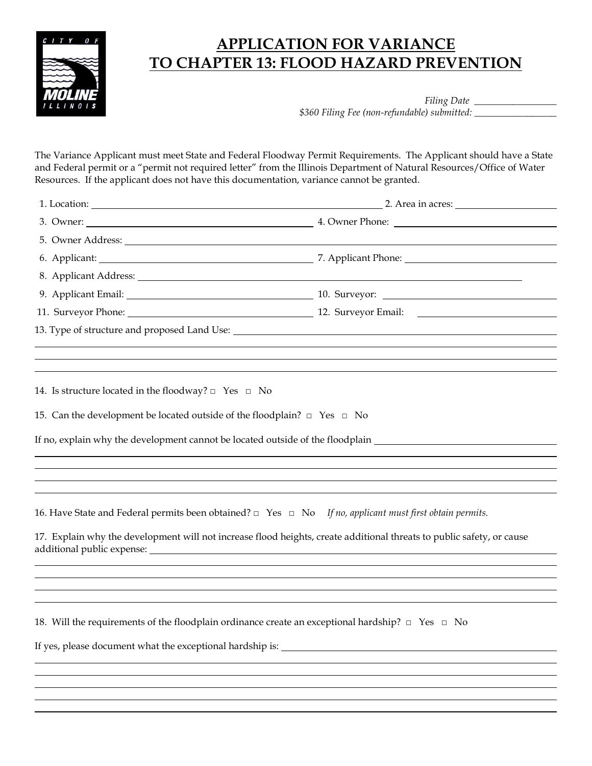

## **APPLICATION FOR VARIANCE TO CHAPTER 13: FLOOD HAZARD PREVENTION**

*Filing Date \_\_\_\_\_\_\_\_\_\_\_\_\_\_\_\_\_ \$360 Filing Fee (non-refundable) submitted: \_\_\_\_\_\_\_\_\_\_\_\_\_\_\_\_\_*

The Variance Applicant must meet State and Federal Floodway Permit Requirements. The Applicant should have a State and Federal permit or a "permit not required letter" from the Illinois Department of Natural Resources/Office of Water Resources. If the applicant does not have this documentation, variance cannot be granted.

|                                                                                                                                                                                                                                | 2. Area in acres: |
|--------------------------------------------------------------------------------------------------------------------------------------------------------------------------------------------------------------------------------|-------------------|
|                                                                                                                                                                                                                                |                   |
| 5. Owner Address: Universe of the Second Second Second Second Second Second Second Second Second Second Second Second Second Second Second Second Second Second Second Second Second Second Second Second Second Second Second |                   |
|                                                                                                                                                                                                                                |                   |
| 8. Applicant Address: Universe of the American control of the American control of the American control of the American control of the American control of the American control of the American control of the American control |                   |
| 9. Applicant Email: 10. Surveyor: 20. Surveyor: 20. Surveyor: 20. Surveyor: 20. Surveyor: 20. Surveyor: 20. Surveyor: 20. Surveyor: 20. Surveyor: 20. Surveyor: 20. Surveyor: 20. Surveyor: 20. Surveyor: 20. Surveyor: 20. Su |                   |
|                                                                                                                                                                                                                                |                   |
| 13. Type of structure and proposed Land Use: The manufacturer of the structure of the structure and proposed Land Use:                                                                                                         |                   |
|                                                                                                                                                                                                                                |                   |
|                                                                                                                                                                                                                                |                   |
| 14. Is structure located in the floodway? $\Box$ Yes $\Box$ No                                                                                                                                                                 |                   |
|                                                                                                                                                                                                                                |                   |
| 15. Can the development be located outside of the floodplain? $\Box$ Yes $\Box$ No                                                                                                                                             |                   |
| If no, explain why the development cannot be located outside of the floodplain _______________________________                                                                                                                 |                   |
|                                                                                                                                                                                                                                |                   |
|                                                                                                                                                                                                                                |                   |
|                                                                                                                                                                                                                                |                   |
| 16. Have State and Federal permits been obtained? $\Box$ Yes $\Box$ No If no, applicant must first obtain permits.                                                                                                             |                   |
| 17. Explain why the development will not increase flood heights, create additional threats to public safety, or cause                                                                                                          |                   |
|                                                                                                                                                                                                                                |                   |
|                                                                                                                                                                                                                                |                   |
|                                                                                                                                                                                                                                |                   |
| 18. Will the requirements of the floodplain ordinance create an exceptional hardship? $\Box$ Yes $\Box$ No                                                                                                                     |                   |
|                                                                                                                                                                                                                                |                   |
|                                                                                                                                                                                                                                |                   |
|                                                                                                                                                                                                                                |                   |
|                                                                                                                                                                                                                                |                   |